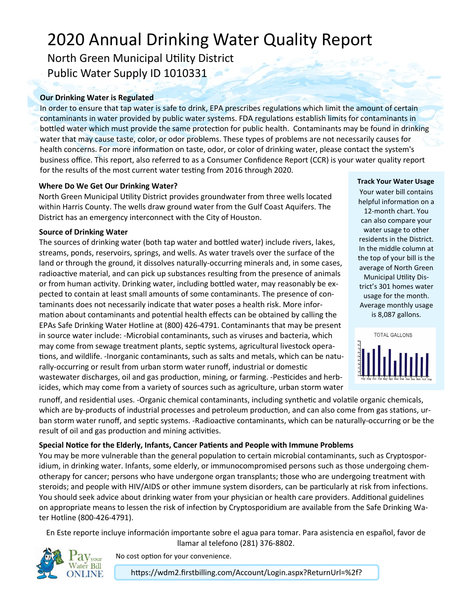# 2020 Annual Drinking Water Quality Report North Green Municipal Utility District Public Water Supply ID 1010331

# **Our Drinking Water is Regulated**

In order to ensure that tap water is safe to drink, EPA prescribes regulations which limit the amount of certain contaminants in water provided by public water systems. FDA regulations establish limits for contaminants in bottled water which must provide the same protection for public health. Contaminants may be found in drinking water that may cause taste, color, or odor problems. These types of problems are not necessarily causes for health concerns. For more information on taste, odor, or color of drinking water, please contact the system's business office. This report, also referred to as a Consumer Confidence Report (CCR) is your water quality report for the results of the most current water testing from 2016 through 2020.

#### **Where Do We Get Our Drinking Water?**

North Green Municipal Utility District provides groundwater from three wells located within Harris County. The wells draw ground water from the Gulf Coast Aquifers. The District has an emergency interconnect with the City of Houston.

#### **Source of Drinking Water**

The sources of drinking water (both tap water and bottled water) include rivers, lakes, streams, ponds, reservoirs, springs, and wells. As water travels over the surface of the land or through the ground, it dissolves naturally-occurring minerals and, in some cases, radioactive material, and can pick up substances resulting from the presence of animals or from human activity. Drinking water, including bottled water, may reasonably be expected to contain at least small amounts of some contaminants. The presence of contaminants does not necessarily indicate that water poses a health risk. More information about contaminants and potential health effects can be obtained by calling the EPAs Safe Drinking Water Hotline at (800) 426-4791. Contaminants that may be present in source water include: -Microbial contaminants, such as viruses and bacteria, which may come from sewage treatment plants, septic systems, agricultural livestock operations, and wildlife. -Inorganic contaminants, such as salts and metals, which can be naturally-occurring or result from urban storm water runoff, industrial or domestic wastewater discharges, oil and gas production, mining, or farming. -Pesticides and herbicides, which may come from a variety of sources such as agriculture, urban storm water **Track Your Water Usage**

Your water bill contains helpful information on a 12-month chart. You can also compare your water usage to other residents in the District. In the middle column at the top of your bill is the average of North Green Municipal Utility District's 301 homes water usage for the month. Average monthly usage is 8,087 gallons.



runoff, and residential uses. -Organic chemical contaminants, including synthetic and volatile organic chemicals, which are by-products of industrial processes and petroleum production, and can also come from gas stations, urban storm water runoff, and septic systems. -Radioactive contaminants, which can be naturally-occurring or be the result of oil and gas production and mining activities.

# **Special Notice for the Elderly, Infants, Cancer Patients and People with Immune Problems**

You may be more vulnerable than the general population to certain microbial contaminants, such as Cryptosporidium, in drinking water. Infants, some elderly, or immunocompromised persons such as those undergoing chemotherapy for cancer; persons who have undergone organ transplants; those who are undergoing treatment with steroids; and people with HIV/AIDS or other immune system disorders, can be particularly at risk from infections. You should seek advice about drinking water from your physician or health care providers. Additional guidelines on appropriate means to lessen the risk of infection by Cryptosporidium are available from the Safe Drinking Water Hotline (800-426-4791).

En Este reporte incluye información importante sobre el agua para tomar. Para asistencia en español, favor de llamar al telefono (281) 376-8802.



No cost option for your convenience.

https://wdm2.firstbilling.com/Account/Login.aspx?ReturnUrl=%2f?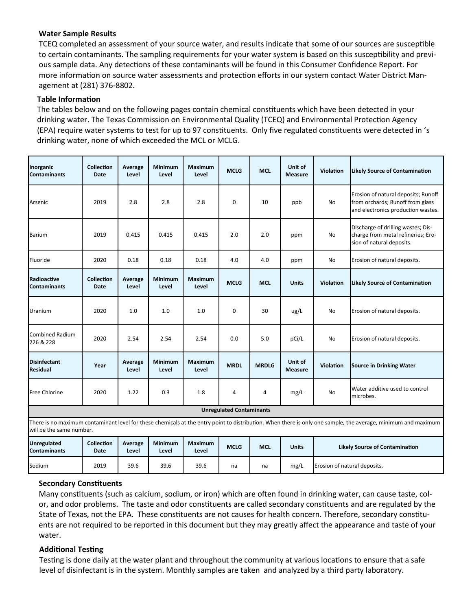### **Water Sample Results**

TCEQ completed an assessment of your source water, and results indicate that some of our sources are susceptible to certain contaminants. The sampling requirements for your water system is based on this susceptibility and previous sample data. Any detections of these contaminants will be found in this Consumer Confidence Report. For more information on source water assessments and protection efforts in our system contact Water District Management at (281) 376-8802.

#### **Table Information**

The tables below and on the following pages contain chemical constituents which have been detected in your drinking water. The Texas Commission on Environmental Quality (TCEQ) and Environmental Protection Agency (EPA) require water systems to test for up to 97 constituents. Only five regulated constituents were detected in 's drinking water, none of which exceeded the MCL or MCLG.

| Inorganic<br><b>Contaminants</b>                                                                                                                                                          | <b>Collection</b><br>Date | Average<br>Level | <b>Minimum</b><br>Level | <b>Maximum</b><br>Level | <b>MCLG</b> | <b>MCL</b>   | Unit of<br><b>Measure</b> | Violation | <b>Likely Source of Contamination</b>                                                                         |
|-------------------------------------------------------------------------------------------------------------------------------------------------------------------------------------------|---------------------------|------------------|-------------------------|-------------------------|-------------|--------------|---------------------------|-----------|---------------------------------------------------------------------------------------------------------------|
| Arsenic                                                                                                                                                                                   | 2019                      | 2.8              | 2.8                     | 2.8                     | 0           | 10           | ppb                       | No        | Erosion of natural deposits; Runoff<br>from orchards; Runoff from glass<br>and electronics production wastes. |
| <b>Barium</b>                                                                                                                                                                             | 2019                      | 0.415            | 0.415                   | 0.415                   | 2.0         | 2.0          | ppm                       | No        | Discharge of drilling wastes; Dis-<br>charge from metal refineries; Ero-<br>sion of natural deposits.         |
| Fluoride                                                                                                                                                                                  | 2020                      | 0.18             | 0.18                    | 0.18                    | 4.0         | 4.0          | ppm                       | No        | Erosion of natural deposits.                                                                                  |
| Radioactive<br><b>Contaminants</b>                                                                                                                                                        | <b>Collection</b><br>Date | Average<br>Level | Minimum<br>Level        | <b>Maximum</b><br>Level | <b>MCLG</b> | <b>MCL</b>   | <b>Units</b>              | Violation | <b>Likely Source of Contamination</b>                                                                         |
| Uranium                                                                                                                                                                                   | 2020                      | 1.0              | 1.0                     | 1.0                     | 0           | 30           | ug/L                      | No        | Erosion of natural deposits.                                                                                  |
| <b>Combined Radium</b><br>226 & 228                                                                                                                                                       | 2020                      | 2.54             | 2.54                    | 2.54                    | 0.0         | 5.0          | pCi/L                     | <b>No</b> | Erosion of natural deposits.                                                                                  |
| <b>Disinfectant</b><br><b>Residual</b>                                                                                                                                                    | Year                      | Average<br>Level | <b>Minimum</b><br>Level | <b>Maximum</b><br>Level | <b>MRDL</b> | <b>MRDLG</b> | Unit of<br><b>Measure</b> | Violation | <b>Source in Drinking Water</b>                                                                               |
| <b>Free Chlorine</b>                                                                                                                                                                      | 2020                      | 1.22             | 0.3                     | 1.8                     | 4           | 4            | mg/L                      | <b>No</b> | Water additive used to control<br>microbes.                                                                   |
| <b>Unregulated Contaminants</b>                                                                                                                                                           |                           |                  |                         |                         |             |              |                           |           |                                                                                                               |
| There is no maximum contaminant level for these chemicals at the entry point to distribution. When there is only one sample, the average, minimum and maximum<br>will be the same number. |                           |                  |                         |                         |             |              |                           |           |                                                                                                               |
|                                                                                                                                                                                           |                           |                  |                         |                         |             |              |                           |           |                                                                                                               |

| Unregulated<br><b>Contaminants</b> | <b>Collection</b><br><b>Date</b> | Average<br>Level | <b>Minimum</b><br>Level | <b>Maximum</b><br>Level | <b>MCLG</b> | MCL | <b>Units</b> | <b>Likely Source of Contamination</b> |
|------------------------------------|----------------------------------|------------------|-------------------------|-------------------------|-------------|-----|--------------|---------------------------------------|
| Sodium                             | 2019                             | 39.6             | 39.6                    | 39.6                    | na          | na  | mg/L         | Erosion of natural deposits.          |

# **Secondary Constituents**

Many constituents (such as calcium, sodium, or iron) which are often found in drinking water, can cause taste, color, and odor problems. The taste and odor constituents are called secondary constituents and are regulated by the State of Texas, not the EPA. These constituents are not causes for health concern. Therefore, secondary constituents are not required to be reported in this document but they may greatly affect the appearance and taste of your water.

#### **Additional Testing**

Testing is done daily at the water plant and throughout the community at various locations to ensure that a safe level of disinfectant is in the system. Monthly samples are taken and analyzed by a third party laboratory.